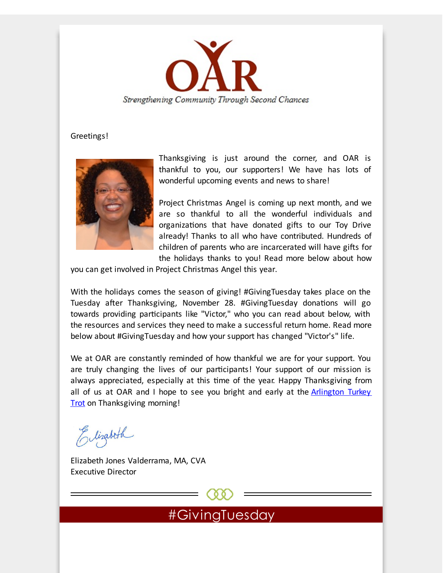

#### Greetings!



Thanksgiving is just around the corner, and OAR is thankful to you, our supporters! We have has lots of wonderful upcoming events and news to share!

Project Christmas Angel is coming up next month, and we are so thankful to all the wonderful individuals and organizations that have donated gifts to our Toy Drive already! Thanks to all who have contributed. Hundreds of children of parents who are incarcerated will have gifts for the holidays thanks to you! Read more below about how

you can get involved in Project Christmas Angel this year.

With the holidays comes the season of giving! #GivingTuesday takes place on the Tuesday after Thanksgiving, November 28. #GivingTuesday donations will go towards providing participants like "Victor," who you can read about below, with the resources and services they need to make a successful return home. Read more below about #GivingTuesday and how your support has changed "Victor's" life.

We at OAR are constantly reminded of how thankful we are for your support. You are truly changing the lives of our participants! Your support of our mission is always appreciated, especially at this time of the year. Happy Thanksgiving from all of us at OAR and I hope to see you bright and early at the **Arlington Turkey** Trot on [Thanksgiving](http://r20.rs6.net/tn.jsp?f=001ZvgGQokBff0fjNhSVrhBWbJHGwXPguSNWBnEn1_KMIOeZIZ7anRHs4XpQ7qWexp8uzyFYjt7SyF8SRJPn26140FuVBqKmmO6nK0x0aKxN_DBLcQJZMjBD9nXtWc67yp_o96J7nHnkYagopcAsyMuNrNMzIOU3_92GEsh28ZNbAyW4R6Rm1pJL0hJQ0BC67mn95fU9revKOqjaWGDY8tfSc5xUWKst5BbmMg-6pxij-AzxRAsXSReLcs96hc5DewZFpXgYVc5soZmBe4XrDJmF2-T9DlzexqiFARLenfKfTvjmL3R2SIGzP3UJ5hCs4_wIXNNBaefN3lW4UMlnyaa7wUZ3eZhtR5w3KL-MUxzPqU=&c=&ch=) morning!

Elizabeth

Elizabeth Jones Valderrama, MA, CVA Executive Director

#GivingTuesday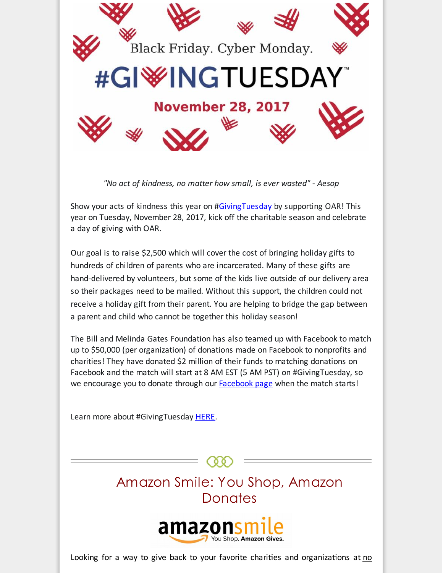

*"No act of kindness, no matter how small, is ever wasted" - Aesop*

Show your acts of kindness this year on [#GivingTuesday](http://r20.rs6.net/tn.jsp?f=001ZvgGQokBff0fjNhSVrhBWbJHGwXPguSNWBnEn1_KMIOeZIZ7anRHs__qaUHoIvv-MDSCXzRjKpGxox-NE7J0pc0iHEgkgLP6yQX_aqBOioVHkH1RzzExwpDDRUpfYlcEXp0u1GrgQnflJWJjAE-IiIL5Tu_2p8zrTz6sPG0EUsRnR28HHVmy2P35eqoyJJWLRs6IhwyH_lCpwsZryZa1_WugH_gWig1LnwK44sUftYHzH5BeFMW77LbvSQEKupmO5QCRSEUJwUuGbFfIyqf1Wd_X_z6oWTnNJG8CfDMpHxFwue3udu__ugcoie1YLeG3vL-NhVqxT5A=&c=&ch=) by supporting OAR! This year on Tuesday, November 28, 2017, kick off the charitable season and celebrate a day of giving with OAR.

Our goal is to raise \$2,500 which will cover the cost of bringing holiday gifts to hundreds of children of parents who are incarcerated. Many of these gifts are hand-delivered by volunteers, but some of the kids live outside of our delivery area so their packages need to be mailed. Without this support, the children could not receive a holiday gift from their parent. You are helping to bridge the gap between a parent and child who cannot be together this holiday season!

The Bill and Melinda Gates Foundation has also teamed up with Facebook to match up to \$50,000 (per organization) of donations made on Facebook to nonprofits and charities! They have donated \$2 million of their funds to matching donations on Facebook and the match will start at 8 AM EST (5 AM PST) on #GivingTuesday, so we encourage you to donate through our [Facebook](http://r20.rs6.net/tn.jsp?f=001ZvgGQokBff0fjNhSVrhBWbJHGwXPguSNWBnEn1_KMIOeZIZ7anRHsyjDTSF_rpFEm7a77_0TP0p_1Ge9aHaewPMwMR5HnMucHkkM39JHHntQa8r1U0R4cwcddov-w3ihvzpfRhMe1rCOYZPi42n4BkI4V6TTYGBwsZeGaMTxbUVVatxIUEhVRw-edfZkwyfX&c=&ch=) page when the match starts!

Learn more about #GivingTuesday [HERE](http://r20.rs6.net/tn.jsp?f=001ZvgGQokBff0fjNhSVrhBWbJHGwXPguSNWBnEn1_KMIOeZIZ7anRHs__qaUHoIvv-uPXsQQiat4QXN76EN6j97c-x-e2GcOcYDsXITBne9NmBv-lgpE8I3zIoHmiRHfX6GAdf6wJLGXQA6SewkB1FdVPbm_VkSf7b59Hm8b8eL1nz_1fynUYRbDNuhNwCSkoOuQht1Ty2iHxcEq6vjyVfJLhe5jUgPcNuBJHHe3DVsgiN_LSt5X2jPE_AuHhHW27DptHeQh2S1gDtLJBwf1aONv2UE2mQQgIQGxGfrS7iq-lVwvHoM1rcJ8W0IG4e4G3s8XGKqbMXgKmxhDEInXFaYYfZLRFccPefIQXh1qA-Q8g=&c=&ch=).

# Amazon Smile: You Shop, Amazon **Donates**



Looking for a way to give back to your favorite charities and organizations at  $\underline{\mathbf{n}}$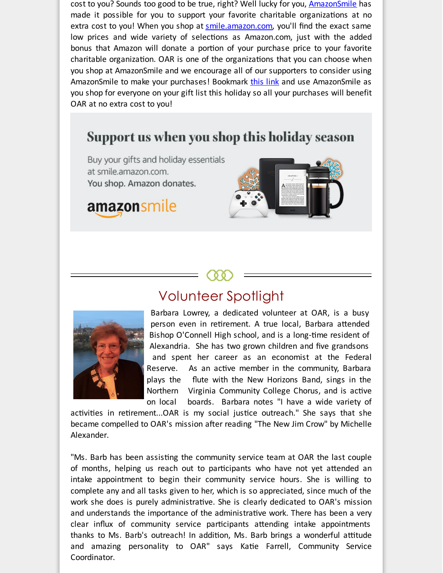cost to you? Sounds too good to be true, right? Well lucky for you, [AmazonSmile](http://r20.rs6.net/tn.jsp?f=001ZvgGQokBff0fjNhSVrhBWbJHGwXPguSNWBnEn1_KMIOeZIZ7anRHs4XpQ7qWexp8aK-4r2LApZkRDJaKBFmL7-asHif6S1fLN8-_hAad_hLAcoPPo_fYpvmrPOIDkhI2OMqVaQiPvAQXrnA0mOGVMAqeC3BHRnJoz2LKU3zQO1lSffKnyeKAc1lKVvbM5GJugD1MFcjUwtn06NwLOnsJRZSq8so01qdlXezx0iw15a8y8E6qxCHxnBUel9cWCSduqa7ReIhoBZ2OTOwbVz3_xxZeU9C6Mgtymfcp8EukhVhpgR4ssIfP0AQVv7_HkEJrdsxhcG7L0QWpYvhuzlZTaUcv1lhk99kNG6kEVXXKe9wG0uYtb6I0p8YhW35Hq32ddngoTlAsSLo2HSTKTfKV9detsiCw2RPCa3EW-GU69DklpfSauTnb2YNjT-2fpRUsMetakaZmF7dGR7vRl70UXXK5T0xbHPccnqqjVPnAycmL0gZOPcjY7HkM3xRvIfsNAqHp4CJMtx-xFpgWFhowdIb2Jqg5pble2xQf7r1asrI2TjvDHlAz45H5xKL9jEeq4bFu_CQ-T9dxT-C_5FSOdhiHmt500uQ9h-yQFevoQV2hkfrHP3lq5ORq4zOgUKBuOh6IHS4UF6WH4SFlCVS4Gb2j_aZTvQH84afsFOOI2S8K_WHE_77tkKua4aJn2wI0ixLK8dcWtPNjMhx_-AglnsNo7SU4mgpeq1NrfEgsSB9IszIJfr_PPBQDy4YWL9r9mrWJxNBLWjNs291ofcbTqpn918-NMTcgCkf2Q5HHIaG5iY_pkqcaUttuTNOw4YLYXQN6xlQnfRneeJ8Sez6r2xDrJgcga56J9jF3G7lmHRlDf0UMCNBoFKVuK-_CjhnosdWPNqiYf6Gzzt4x8lZfukXq4XAIO7ydH6C2yam0OgGqCa_vrCnAnjAzZlk43g6dwuMLQhUEhEI1aiGIAJtoifm9xz5jtL3o1FLZTqdYEQyRphe-VLuXmsSLZK2PBO_eH95C-ZsIVJkaeU1DMAoh-7Brh3uIja3Tsp866max4GJN4oSVYyiSmbjQzwJIN1ro6keABZ-Z3f4zfFQ-2AtHvFvEE0hju9QLZkVea_gXWh5vxHj8LxsH30D-Ynm0zhD7g4nBcjEVcNR-NiDNYduCx9cTaO2SzsuTTobFLCKS-zroW_c6IKRr_tuBy8ZOUnqde6kTCCsuL2YV3S-0RavUmmvQakp6cCMUSHNEMmSlVeVyqm3NHXZPOZhvIbVFQJ32LRzbWJq_hO2af6R5zQUVrHmPLrRhYxzpCaPyY3CubI9Ir2XOKCwIi95Eho05ErYg4Q7AfCwupkOnFAES6H5_V2cB3Ejr6xXqiTw9K1IiBfFWJwUpHpRoKgTi0EjAXvX_&c=&ch=) has made it possible for you to support your favorite charitable organizations at no extra cost to you! When you shop at [smile.amazon.com](http://r20.rs6.net/tn.jsp?f=001ZvgGQokBff0fjNhSVrhBWbJHGwXPguSNWBnEn1_KMIOeZIZ7anRHs4XpQ7qWexp8vnMVW2942NSh2BzPsF4J-QdT_oPYJTj1zasSyyjsi2bnfosZQIwCiySuy5vNHMFhkvQRUCso4-7y1etMj-ByAAVXmcWgGqz3IDDL8Mrm8V3C8onb7JyzOSLdQi2xNoyEHUtePij4UtryvwzG2D6_WZsv-oubEsZDHM0AgexZOmwyi9oW2b5phegmxOp21n_LG8Er0uIBkinUk17ZYkMpdP2Q3GPOWr91_FCR0NC7ACsJJORRBseOm78XS3SyKPhorfOf337r3e9v6j1VcawrCwsb4d1cb80KNSGEgmJRenitfPW6E32mivB_yQ-VCHkzwKzhBGrUgKuWMD0F1sNkUr5v4OIsF3_s4xcNb5eSEm3-v67SOCpCEvwaHd69QTz6AED1y1QPk4ItDPDaLhBximWcZjM4hwMpO7mMQwgm8xNtCdIIAWIOxr_OqGZ32JDDFaZbJBG0t75slgSGZcAofeUf4iT6eTY5d1FUxaA7aZV7LRQmhoHEp9XWUYCuFw3wBH0VBM2W0oJNjEpgcsK2VrxsGzFu_v8OoWZhlruiLZbLhLPznuJiEkDRD1P3uu8JnOJ4LkDrj_MKD-_XqNjjkXJyDJEpKXcfj9uBHc-zVoeFAB6cFNvHM5GxZRSzZnwdZRAicIN1qmVXIwZYKYHaDq7HJMhmEVSHV26B97J4XVsJfbUkG_dC34Psis5xM6qvsUf7lS6l6UcPN-k_IBmd9vVNrj6gsf4W3bAZYqOcYjxx3nEYAf2PeisBq3uaxriKQFXQ6_roKZUB9VXCr1Cp8vZbgo005_03kA7QZnVhpqDziReY7s2u-TklD7lLTFmQCSXh5w6S-YisxOUsL_fbP2HLrzAK4-5SHln00WmmNUkI6i9XcNEGT6p0AM_d8BPwyNvfI8ZANrxlcaB2BYNxUKUuJ606OMarbXblO9viBwkbnp9yNnJlavJhFQyFuaORuOhB6P3cRPOzbb6NoLAp6yoJr8DLehfPWCxu2iszHDLX8i9-jyfsFbz-_xl763zXSg2ZjoxozMIDk94k5rgHkztP8yYaxL9AOtiK2BeYk1PcQD2KnLtwslnWlRVeesjZhsAX6-qkQdxjTW4utiIUve_vjQrmW1oJK53zlkTRFqoEJYWUYx-MA1AHCrcEclJXNf8nQXHRnaOoYpjkbOb6JP3P8X9ygTFu96DEH4SdZ19505raKh805GXvaYgjocOyvARU1MrL7pwZKZDO4LaY0fwcMsRBJKknvT-9ZwjOMRDwodmKPyeNT1uNUF9FbTvrGeJw3VU2uUT3q7d0KRzzZeF_LND2JJGdiR8qsrCtee-jyNl_aUjsmFD22Cf_g0-j&c=&ch=), you'll find the exact same low prices and wide variety of selections as Amazon.com, just with the added bonus that Amazon will donate a portion of your purchase price to your favorite charitable organization. OAR is one of the organizations that you can choose when you shop at AmazonSmile and we encourage all of our supporters to consider using AmazonSmile to make your purchases! Bookmark [this](http://r20.rs6.net/tn.jsp?f=001ZvgGQokBff0fjNhSVrhBWbJHGwXPguSNWBnEn1_KMIOeZIZ7anRHs4XpQ7qWexp8vnMVW2942NSh2BzPsF4J-QdT_oPYJTj1zasSyyjsi2bnfosZQIwCiySuy5vNHMFhkvQRUCso4-7y1etMj-ByAAVXmcWgGqz3IDDL8Mrm8V3C8onb7JyzOSLdQi2xNoyEHUtePij4UtryvwzG2D6_WZsv-oubEsZDHM0AgexZOmwyi9oW2b5phegmxOp21n_LG8Er0uIBkinUk17ZYkMpdP2Q3GPOWr91_FCR0NC7ACsJJORRBseOm78XS3SyKPhorfOf337r3e9v6j1VcawrCwsb4d1cb80KNSGEgmJRenitfPW6E32mivB_yQ-VCHkzwKzhBGrUgKuWMD0F1sNkUr5v4OIsF3_s4xcNb5eSEm3-v67SOCpCEvwaHd69QTz6AED1y1QPk4ItDPDaLhBximWcZjM4hwMpO7mMQwgm8xNtCdIIAWIOxr_OqGZ32JDDFaZbJBG0t75slgSGZcAofeUf4iT6eTY5d1FUxaA7aZV7LRQmhoHEp9XWUYCuFw3wBH0VBM2W0oJNjEpgcsK2VrxsGzFu_v8OoWZhlruiLZbLhLPznuJiEkDRD1P3uu8JnOJ4LkDrj_MKD-_XqNjjkXJyDJEpKXcfj9uBHc-zVoeFAB6cFNvHM5GxZRSzZnwdZRAicIN1qmVXIwZYKYHaDq7HJMhmEVSHV26B97J4XVsJfbUkG_dC34Psis5xM6qvsUf7lS6l6UcPN-k_IBmd9vVNrj6gsf4W3bAZYqOcYjxx3nEYAf2PeisBq3uaxriKQFXQ6_roKZUB9VXCr1Cp8vZbgo005_03kA7QZnVhpqDziReY7s2u-TklD7lLTFmQCSXh5w6S-YisxOUsL_fbP2HLrzAK4-5SHln00WmmNUkI6i9XcNEGT6p0AM_d8BPwyNvfI8ZANrxlcaB2BYNxUKUuJ606OMarbXblO9viBwkbnp9yNnJlavJhFQyFuaORuOhB6P3cRPOzbb6NoLAp6yoJr8DLehfPWCxu2iszHDLX8i9-jyfsFbz-_xl763zXSg2ZjoxozMIDk94k5rgHkztP8yYaxL9AOtiK2BeYk1PcQD2KnLtwslnWlRVeesjZhsAX6-qkQdxjTW4utiIUve_vjQrmW1oJK53zlkTRFqoEJYWUYx-MA1AHCrcEclJXNf8nQXHRnaOoYpjkbOb6JP3P8X9ygTFu96DEH4SdZ19505raKh805GXvaYgjocOyvARU1MrL7pwZKZDO4LaY0fwcMsRBJKknvT-9ZwjOMRDwodmKPyeNT1uNUF9FbTvrGeJw3VU2uUT3q7d0KRzzZeF_LND2JJGdiR8qsrCtee-jyNl_aUjsmFD22Cf_g0-j&c=&ch=) link and use AmazonSmile as you shop for everyone on your gift list this holiday so all your purchases will benefit OAR at no extra cost to you!

## Support us when you shop this holiday season

Buy your gifts and holiday essentials at smile.amazon.com. You shop. Amazon donates.

amazonsmile



### Volunteer Spotlight



Barbara Lowrey, a dedicated volunteer at OAR, is a busy person even in retirement. A true local, Barbara attended Bishop O'Connell High school, and is a long-time resident of Alexandria. She has two grown children and five grandsons and spent her career as an economist at the Federal Reserve. As an active member in the community, Barbara plays the flute with the New Horizons Band, sings in the Northern Virginia Community College Chorus, and is active on local boards. Barbara notes "I have a wide variety of

activities in retirement...OAR is my social justice outreach." She says that she became compelled to OAR's mission after reading "The New Jim Crow" by Michelle Alexander.

"Ms. Barb has been assisting the community service team at OAR the last couple of months, helping us reach out to participants who have not yet attended an intake appointment to begin their community service hours. She is willing to complete any and all tasks given to her, which is so appreciated, since much of the work she does is purely administrative. She is clearly dedicated to OAR's mission and understands the importance of the administrative work. There has been a very clear influx of community service participants attending intake appointments thanks to Ms. Barb's outreach! In addition, Ms. Barb brings a wonderful attitude and amazing personality to OAR" says Katie Farrell, Community Service Coordinator.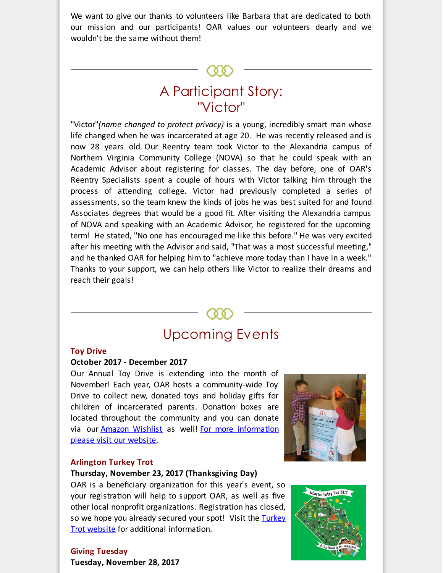We want to give our thanks to volunteers like Barbara that are dedicated to both our mission and our participants! OAR values our volunteers dearly and we wouldn't be the same without them!

### $(00)$

# A Participant Story: "Victor"

"Victor"*(name changed to protect privacy)* is a young, incredibly smart man whose life changed when he was incarcerated at age 20. He was recently released and is now 28 years old. Our Reentry team took Victor to the Alexandria campus of Northern Virginia Community College (NOVA) so that he could speak with an Academic Advisor about registering for classes. The day before, one of OAR's Reentry Specialists spent a couple of hours with Victor talking him through the process of attending college. Victor had previously completed a series of assessments, so the team knew the kinds of jobs he was best suited for and found Associates degrees that would be a good fit. After visiting the Alexandria campus of NOVA and speaking with an Academic Advisor, he registered for the upcoming term! He stated, "No one has encouraged me like this before." He was very excited after his meeting with the Advisor and said, "That was a most successful meeting," and he thanked OAR for helping him to "achieve more today than I have in a week." Thanks to your support, we can help others like Victor to realize their dreams and reach their goals!

# Upcoming Events

(00)

#### **Toy Drive**

#### **October 2017 - December 2017**

Our Annual Toy Drive is extending into the month of November! Each year, OAR hosts a community-wide Toy Drive to collect new, donated toys and holiday gifts for children of incarcerated parents. Donation boxes are located throughout the community and you can donate via our [Amazon](http://r20.rs6.net/tn.jsp?f=001ZvgGQokBff0fjNhSVrhBWbJHGwXPguSNWBnEn1_KMIOeZIZ7anRHsyjDTSF_rpFE0P24OJMbo5Bcdm78oYr_io0EQFmWZ8CesBD2VDVWCjcgU3LTagGZX12KU84763VG7iXxoynfTmNAR-soBcAduHfp8ZQ4fEZ9k0GvUqXzvGmYrr6u9BNnVsIjnoIjmBOdgdkeHFSuxlN0SMV-upo3mTacf4RiSTiVMrFxMlI9kzE2lFRaa3jae8Oh8HQQCJDj&c=&ch=) Wishlist as well! For more information please visit our website.

#### **Arlington Turkey Trot**

#### **Thursday, November 23, 2017 (Thanksgiving Day)**

OAR is a beneficiary organization for this year's event, so your registration will help to support OAR, as well as five other local nonprofit organizations. Registration has closed, so we hope you already secured your spot! Visit the Turkey Trot website for additional [information.](http://r20.rs6.net/tn.jsp?f=001ZvgGQokBff0fjNhSVrhBWbJHGwXPguSNWBnEn1_KMIOeZIZ7anRHszbqPEDcYtC37TSmI7f1BYrfEnTwRpsFczBLZvz34yqOOyhNFkxza8mz146s14DaqK98eIDdcVp-6VQnm59sVc67o2d1sTLQeFuOjpDK5gj_biZh3nDVutJZarKaEUnL0bDHU4aE_64GC18K2FvSYzjTjY2sNANe1e-C1UDyV3c1Cpex2dKcR4-ACFDXp1KeP8cAi7n7eCTT0FDX_SQQ7YS_yP2PjDzBILcDgo92g1vYLdNLvNx-_mfWL48mpahzdLuf4-THmYdYgqwlGoil5EAXZg5fdlHk7w1gizWQPUBf-SPazg5M6ZY=&c=&ch=)





**Giving Tuesday Tuesday, November 28, 2017**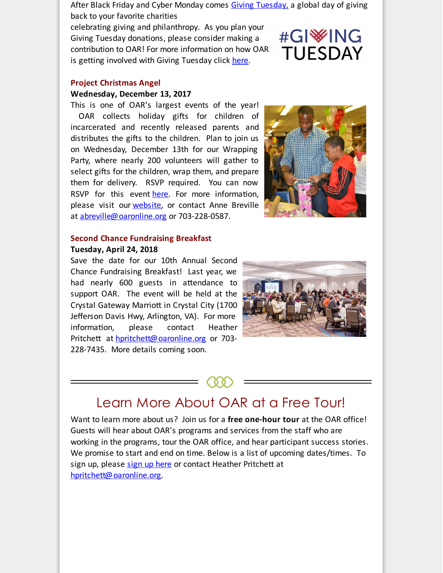After Black Friday and Cyber Monday comes [Givin](http://r20.rs6.net/tn.jsp?f=001ZvgGQokBff0fjNhSVrhBWbJHGwXPguSNWBnEn1_KMIOeZIZ7anRHs4VlCFI9Vz6uuLgbHdYmd1N0d_PbOrMY-d0cKwyLYA6LRzBfGNTNrJV5bTEu3vC9rBWEZ7Ax4fV7ZahJHFT4EcEK7WW7vuANXqNwhThYCNRiyC_TeWoJV412YNivxz4KVQiwGPkPClrbnd7bn-i25uTE6NR0ShtT9a58aUM4NlFzZXRXvaunXQcDoEoBcOZtGb-fwr69AZvBN7ql-GqRW9duSqYTbvbbGU3hWlW-uXC-foew3kuv0X3uF6pyw0dHxsDzvVBeyNGTv_uHA2_vjOYBzMfueVk4ryGVkynm3cuK_8awSl8KQDs=&c=&ch=)g [Tuesday,](http://r20.rs6.net/tn.jsp?f=001ZvgGQokBff0fjNhSVrhBWbJHGwXPguSNWBnEn1_KMIOeZIZ7anRHs4VlCFI9Vz6uuLgbHdYmd1N0d_PbOrMY-d0cKwyLYA6LRzBfGNTNrJV5bTEu3vC9rBWEZ7Ax4fV7ZahJHFT4EcEK7WW7vuANXqNwhThYCNRiyC_TeWoJV412YNivxz4KVQiwGPkPClrbnd7bn-i25uTE6NR0ShtT9a58aUM4NlFzZXRXvaunXQcDoEoBcOZtGb-fwr69AZvBN7ql-GqRW9duSqYTbvbbGU3hWlW-uXC-foew3kuv0X3uF6pyw0dHxsDzvVBeyNGTv_uHA2_vjOYBzMfueVk4ryGVkynm3cuK_8awSl8KQDs=&c=&ch=) a global day of giving back to your favorite charities

celebrating giving and philanthropy. As you plan your Giving Tuesday donations, please consider making a contribution to OAR! For more information on how OAR is getting involved with Giving Tuesday click [here](http://r20.rs6.net/tn.jsp?f=001ZvgGQokBff0fjNhSVrhBWbJHGwXPguSNWBnEn1_KMIOeZIZ7anRHs__qaUHoIvv-uPXsQQiat4QXN76EN6j97c-x-e2GcOcYDsXITBne9NmBv-lgpE8I3zIoHmiRHfX6GAdf6wJLGXQA6SewkB1FdVPbm_VkSf7b59Hm8b8eL1nz_1fynUYRbDNuhNwCSkoOuQht1Ty2iHxcEq6vjyVfJLhe5jUgPcNuBJHHe3DVsgiN_LSt5X2jPE_AuHhHW27DptHeQh2S1gDtLJBwf1aONv2UE2mQQgIQGxGfrS7iq-lVwvHoM1rcJ8W0IG4e4G3s8XGKqbMXgKmxhDEInXFaYYfZLRFccPefIQXh1qA-Q8g=&c=&ch=).

# #GI<sup>W</sup>ING **TUESDAY**

#### **Project Christmas Angel**

#### **Wednesday, December 13, 2017**

This is one of OAR's largest events of the year! OAR collects holiday gifts for children of incarcerated and recently released parents and distributes the gifts to the children. Plan to join us on Wednesday, December 13th for our Wrapping Party, where nearly 200 volunteers will gather to select gifts for the children, wrap them, and prepare them for delivery. RSVP required. You can now RSVP for this event [here](http://r20.rs6.net/tn.jsp?f=001ZvgGQokBff0fjNhSVrhBWbJHGwXPguSNWBnEn1_KMIOeZIZ7anRHs4XpQ7qWexp8CmSbUQ7A_ImA4Fl4OWueg0UrMoNWHxgVH6jHnpThPrxtEky60bV09-cWRVEes9mIBes2BeH9j32tfznX0M8U0I7fejdcazpidpUFMuxf-SHbtZiyHzdKdDedr9Ckr5FSYa9iWTYFhKmmjSLRamiItG0cUioeJa31LD5Sk2VfNGIzYW9TbXjSev4VBFelul64jTWrVZYa4VC3JHhpTJnURVGwKi6sSjTauKg0Z3OpX9JizjogNLS_xM4aPdugRX6TtiqF9s2K8HXDq19rP5RSbROhLLeVkMEO&c=&ch=). For more information, please visit our **[website](http://r20.rs6.net/tn.jsp?f=001ZvgGQokBff0fjNhSVrhBWbJHGwXPguSNWBnEn1_KMIOeZIZ7anRHs__qaUHoIvv-F8bXCSBkPbQCwWSgKj_KQJo50TWWdNOXvmKAdHD1SI7bpHykT5dJjEVi2iT51RL8e2v-eCauUVUpI1tTpg_OwI6iAY-siAiav250oeY4w8UbcvXiaXAyBxbKjdkM23R95hRN8zZJP7_G_c8vs7HUO7FJey5UMPxRlTPea6B_aJp3HJz4A0dB71H0xIznkXkyssdn1HoOBX3uYpyiQ_BkhbeBwk0Q0JbWwpfXC9aG1aZnhbqtgW6miiwiNUOdH-Qdm7ww5XlhLEsSitmk85NFC9PZTzRXTlb3LPwUzoZ0lab2nCSbpNvT_g==&c=&ch=)**, or contact Anne Breville at [abreville@oaronline.org](mailto:abreville@oaronline.org) or 703-228-0587.



#### **Second Chance Fundraising Breakfast Tuesday, April 24, 2018**

Save the date for our 10th Annual Second Chance Fundraising Breakfast! Last year, we had nearly 600 guests in attendance to support OAR. The event will be held at the Crystal Gateway Marriott in Crystal City (1700 Jefferson Davis Hwy, Arlington, VA). For more information, please contact Heather Pritchett at [hpritchett@oaronline.org](mailto:hpritchett@oaronline.org) or 703-228-7435. More details coming soon.



## Learn More About OAR at a Free Tour!

Want to learn more about us? Join us for a **free one-hour tour** at the OAR office! Guests will hear about OAR's programs and services from the staff who are working in the programs, tour the OAR office, and hear participant success stories. We promise to start and end on time. Below is a list of upcoming dates/times. To sign up, please sign up [here](http://r20.rs6.net/tn.jsp?f=001ZvgGQokBff0fjNhSVrhBWbJHGwXPguSNWBnEn1_KMIOeZIZ7anRHs2nr1ehCuch2EdZb9fPvlLbc39QQIB6QLIJn6MGWDQtib7zZQAAEpduA5gXlPwGpMGwf4GuJqopI_z78Q0yhbu_gqWFU2Ah3168eCyTVvPR2AoWU3mZsfusKS37JPT0pGhyEIMpFqqAL7JNpIVCRzIn6F4mztD_bpKHCQIVHpr6uIjpUmQouHrBh4-3gNUIqEhevK90kxNJ6PxW7W9IXdfP4z2M0FMBFwe9fELxoMcNbWyeGRQD9-YiUWTBVnbENpOFfCW12qJsO2OjQz-JX6vD512pcfKIEAvAHxc7NDqJtn1PuIG79teHjNW18Y6aA9Q==&c=&ch=) or contact Heather Pritchett at [hpritchett@oaronline.org](mailto:hpritchett@oaronline.org).